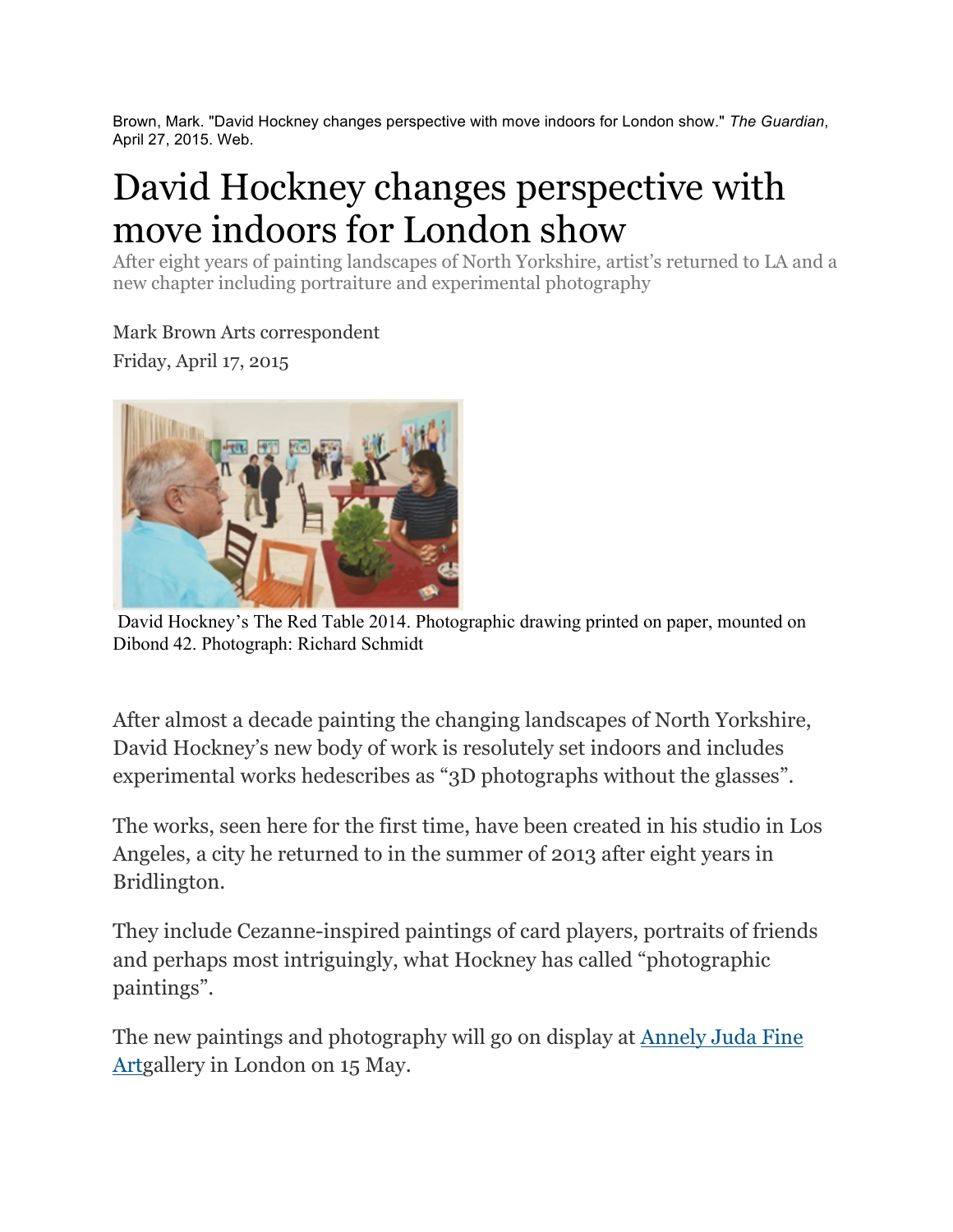Brown, Mark. "David Hockney changes perspective with move indoors for London show." *The Guardian*, April 27, 2015. Web.

## David Hockney changes perspective with move indoors for London show

After eight years of painting landscapes of North Yorkshire, artist's returned to LA and a new chapter including portraiture and experimental photography

Mark Brown Arts correspondent Friday, April 17, 2015



David Hockney's The Red Table 2014. Photographic drawing printed on paper, mounted on Dibond 42. Photograph: Richard Schmidt

After almost a decade painting the changing landscapes of North Yorkshire, David Hockney's new body of work is resolutely set indoors and includes experimental works hedescribes as "3D photographs without the glasses".

The works, seen here for the first time, have been created in his studio in Los Angeles, a city he returned to in the summer of 2013 after eight years in Bridlington.

They include Cezanne-inspired paintings of card players, portraits of friends and perhaps most intriguingly, what Hockney has called "photographic paintings".

The new paintings and photography will go on display at Annely Juda Fine Artgallery in London on 15 May.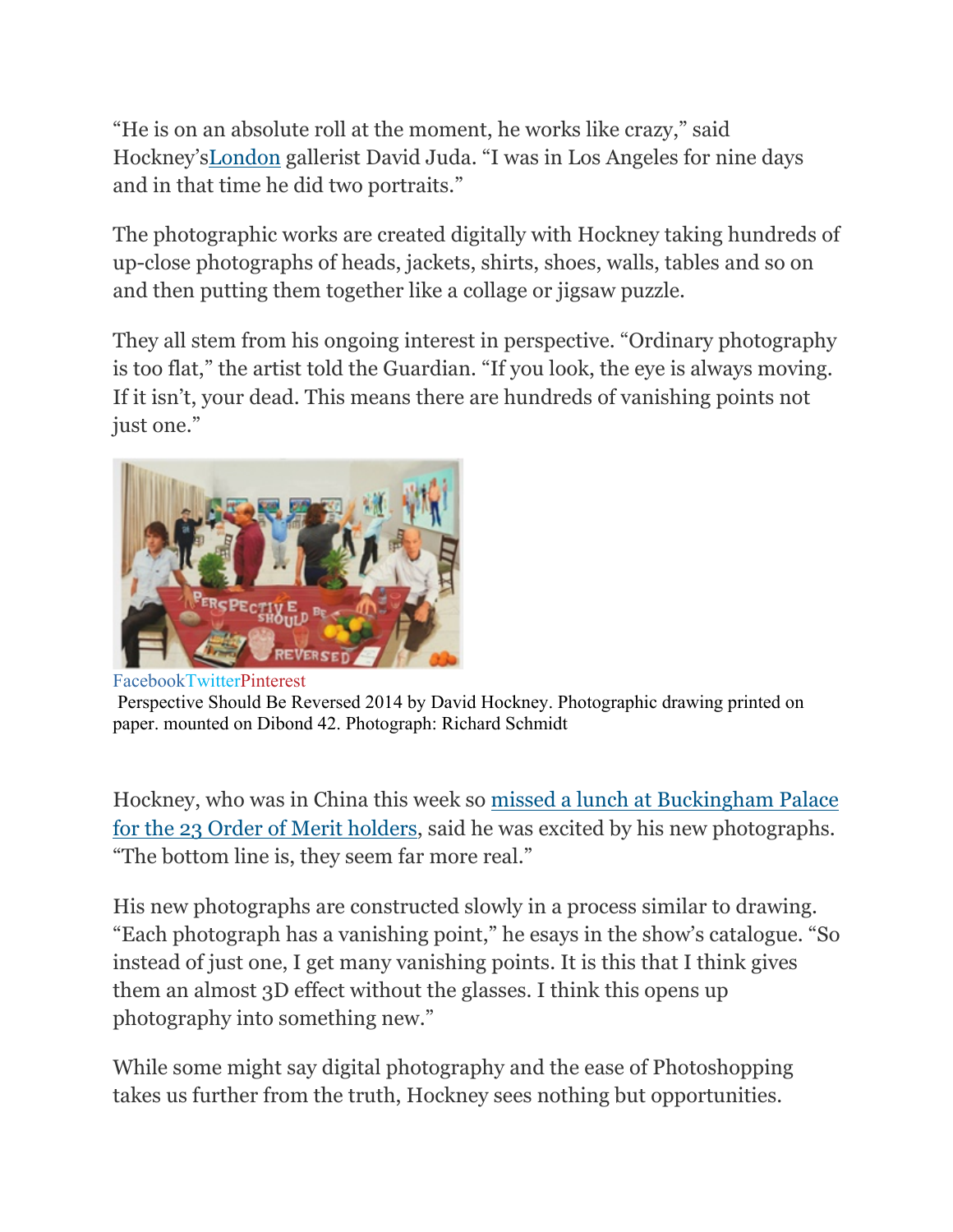"He is on an absolute roll at the moment, he works like crazy," said Hockney'sLondon gallerist David Juda. "I was in Los Angeles for nine days and in that time he did two portraits."

The photographic works are created digitally with Hockney taking hundreds of up-close photographs of heads, jackets, shirts, shoes, walls, tables and so on and then putting them together like a collage or jigsaw puzzle.

They all stem from his ongoing interest in perspective. "Ordinary photography is too flat," the artist told the Guardian. "If you look, the eye is always moving. If it isn't, your dead. This means there are hundreds of vanishing points not just one."



Perspective Should Be Reversed 2014 by David Hockney. Photographic drawing printed on paper. mounted on Dibond 42. Photograph: Richard Schmidt

Hockney, who was in China this week so missed a lunch at Buckingham Palace for the 23 Order of Merit holders, said he was excited by his new photographs. "The bottom line is, they seem far more real."

His new photographs are constructed slowly in a process similar to drawing. "Each photograph has a vanishing point," he esays in the show's catalogue. "So instead of just one, I get many vanishing points. It is this that I think gives them an almost 3D effect without the glasses. I think this opens up photography into something new."

While some might say digital photography and the ease of Photoshopping takes us further from the truth, Hockney sees nothing but opportunities.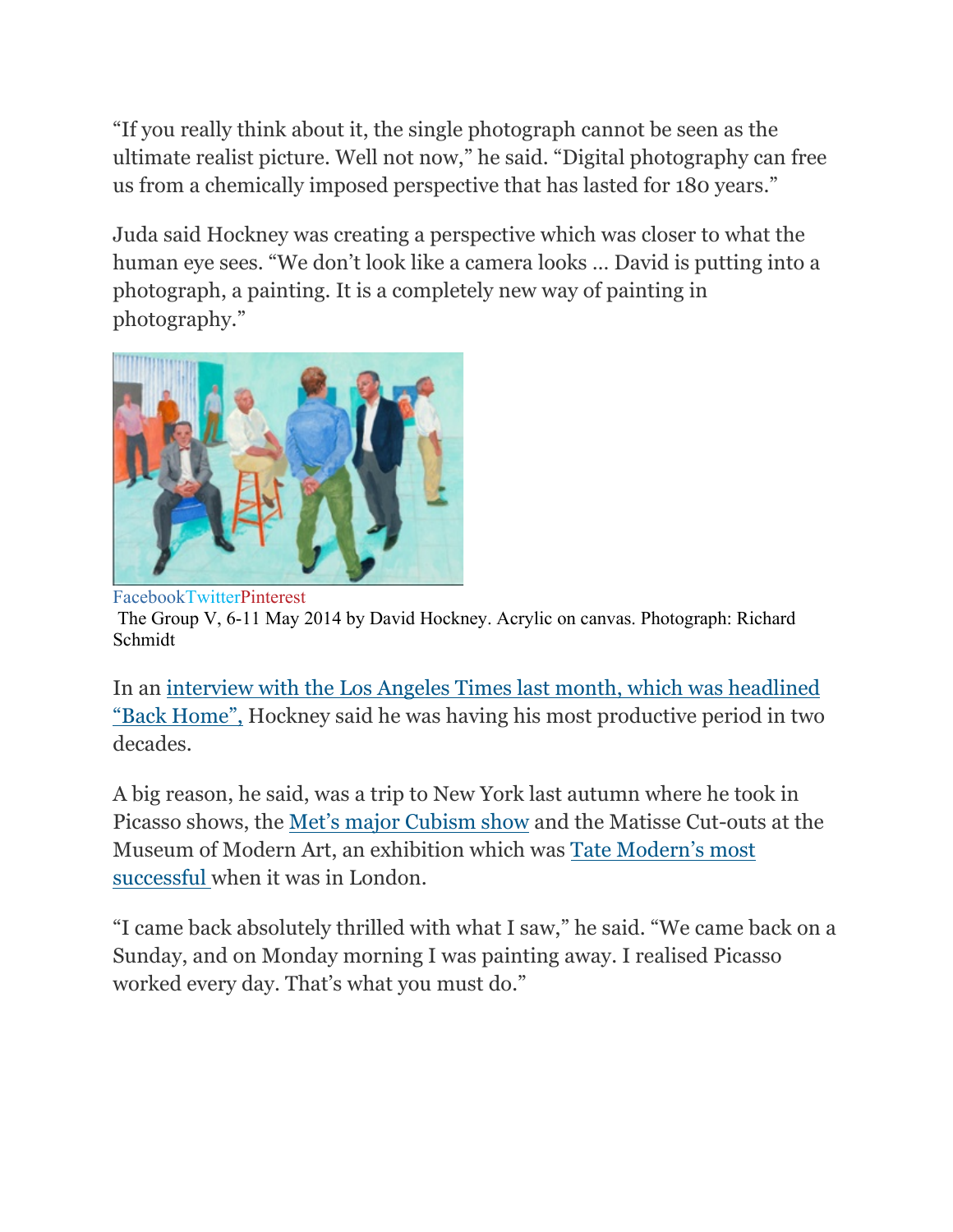"If you really think about it, the single photograph cannot be seen as the ultimate realist picture. Well not now," he said. "Digital photography can free us from a chemically imposed perspective that has lasted for 180 years."

Juda said Hockney was creating a perspective which was closer to what the human eye sees. "We don't look like a camera looks … David is putting into a photograph, a painting. It is a completely new way of painting in photography."



FacebookTwitterPinterest The Group V, 6-11 May 2014 by David Hockney. Acrylic on canvas. Photograph: Richard Schmidt

In an interview with the Los Angeles Times last month, which was headlined "Back Home", Hockney said he was having his most productive period in two decades.

A big reason, he said, was a trip to New York last autumn where he took in Picasso shows, the Met's major Cubism show and the Matisse Cut-outs at the Museum of Modern Art, an exhibition which was Tate Modern's most successful when it was in London.

"I came back absolutely thrilled with what I saw," he said. "We came back on a Sunday, and on Monday morning I was painting away. I realised Picasso worked every day. That's what you must do."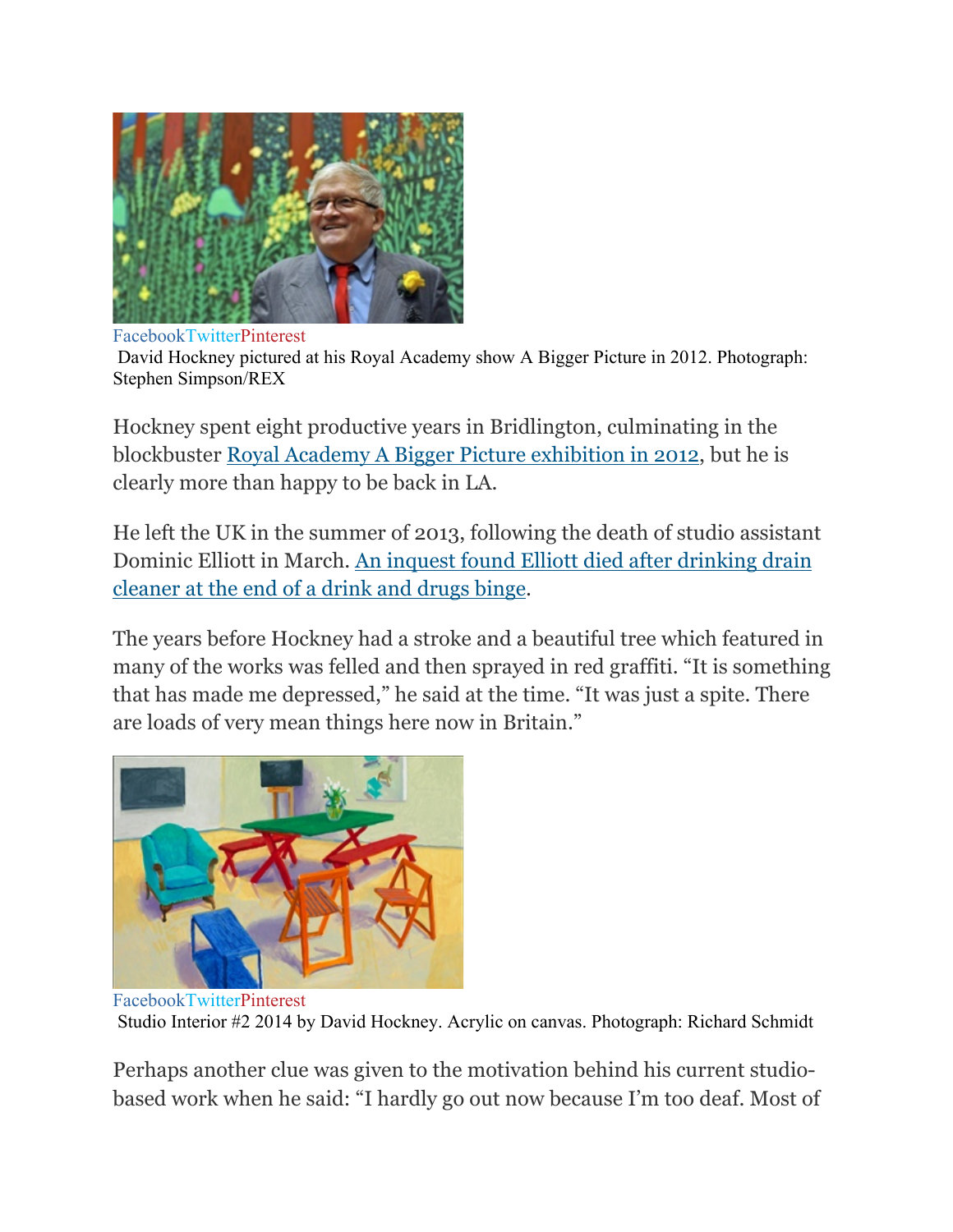

FacebookTwitterPinterest David Hockney pictured at his Royal Academy show A Bigger Picture in 2012. Photograph: Stephen Simpson/REX

Hockney spent eight productive years in Bridlington, culminating in the blockbuster Royal Academy A Bigger Picture exhibition in 2012, but he is clearly more than happy to be back in LA.

He left the UK in the summer of 2013, following the death of studio assistant Dominic Elliott in March. An inquest found Elliott died after drinking drain cleaner at the end of a drink and drugs binge.

The years before Hockney had a stroke and a beautiful tree which featured in many of the works was felled and then sprayed in red graffiti. "It is something that has made me depressed," he said at the time. "It was just a spite. There are loads of very mean things here now in Britain."



FacebookTwitterPinterest Studio Interior #2 2014 by David Hockney. Acrylic on canvas. Photograph: Richard Schmidt

Perhaps another clue was given to the motivation behind his current studiobased work when he said: "I hardly go out now because I'm too deaf. Most of